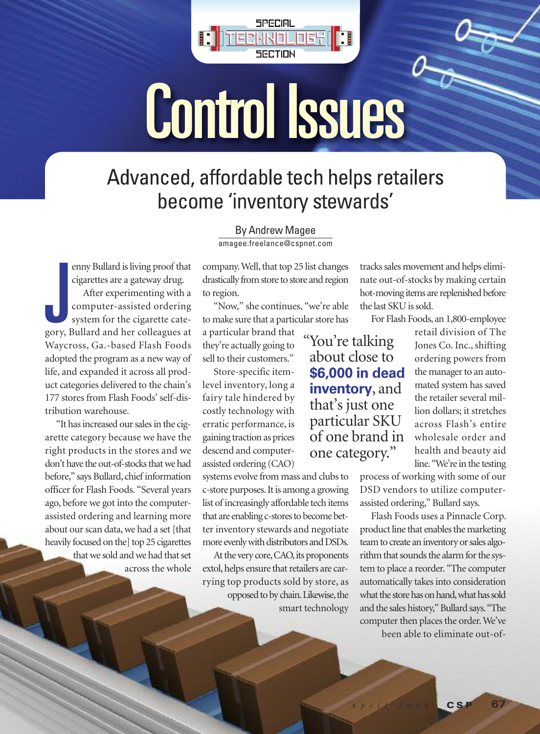

# Control Issues

## Advanced, affordable tech helps retailers become 'inventory stewards '

By Andrew Magee

amagee.freelance@cspnet.com

enny Bullard is living proof that cigarettes are a gateway drug. After experimenting with a computer-assisted ordering system for the cigarette category, Bullard and her colleagues at Waycross, Ga.-based Flash Foods adopted the program as a new way of life, and expanded it across all product categories delivered to the chain's 177 stores from Flash Foods' self-distribution warehouse. enny Bullard is living proof that company. Well, that top 25 list changes tracks sal cigarettes are a gateway drug. After experimenting with a to region. After experimenting with a to region. That is not move to store and

"It hasincreased oursalesin the cigarette category because we have the right products in the stores and we don't have the out-of-stocks that we had before," says Bullard, chief information officer for Flash Foods. "Several years ago, before we got into the computerassisted ordering and learning more about our scan data, we had a set [that heavily focused on the] top 25 cigarettes that we sold and we had that set across the whole

company. Well, that top 25 list changes drastically from store to store and region to region.

"Now," she continues, "we're able to make sure that a particular store has

a particular brand that they're actually going to sell to their customers."

Store-specific itemlevel inventory, long a fairy tale hindered by costly technology with erratic performance, is gaining traction as prices descend and computerassisted ordering (CAO)

systems evolve from mass and clubs to c-store purposes. It is among a growing list of increasingly affordable tech items that are enabling c-stores to become better inventory stewards and negotiate more evenly with distributors and DSDs.

At the very core, CAO, its proponents extol, helps ensure that retailers are carrying top products sold by store, as opposed to by chain. Likewise, the smart technology

tracks sales movement and helps eliminate out-of-stocks by making certain hot-moving items are replenished before the last SKU is sold.

For Flash Foods, an 1,800-employee

"You're talking<br>about close to **\$6,000 in dead inventory**, and that's just one particular SKU of one brand in one category."

retail division of The Jones Co. Inc., shifting ordering powers from the manager to an automated system has saved the retailer several million dollars; it stretches across Flash's entire wholesale order and health and beauty aid line. "We're in the testing

process of working with some of our DSD vendors to utilize computerassisted ordering," Bullard says.

Flash Foods uses a Pinnacle Corp. product line that enables the marketing team to create an inventory or sales algorithm that sounds the alarm for the system to place a reorder. "The computer automatically takes into consideration what the store has on hand, what has sold and the sales history," Bullard says. "The computer then places the order. We've been able to eliminate out-of-

*A p r i l 2 0 0 9* **C S P 67**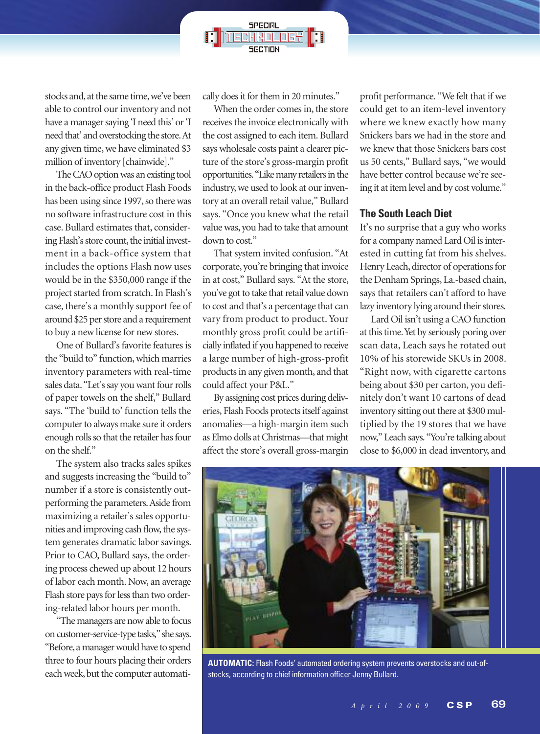stocks and, at the same time, we've been able to control our inventory and not have a manager saying 'I need this' or 'I need that' and overstocking the store.At any given time, we have eliminated \$3 million of inventory [chainwide]."

The CAO option was an existing tool in the back-office product Flash Foods has been using since 1997, so there was no software infrastructure cost in this case. Bullard estimates that, considering Flash's store count, the initial investment in a back-office system that includes the options Flash now uses would be in the \$350,000 range if the project started from scratch.In Flash's case, there's a monthly support fee of around \$25 per store and a requirement to buy a new license for new stores.

One of Bullard's favorite features is the "build to" function, which marries inventory parameters with real-time sales data. "Let's say you want four rolls of paper towels on the shelf," Bullard says. "The 'build to' function tells the computer to always make sure it orders enough rolls so that the retailer has four on the shelf."

The system also tracks sales spikes and suggests increasing the "build to" number if a store is consistently outperforming the parameters.Aside from maximizing a retailer's sales opportunities and improving cash flow, the system generates dramatic labor savings. Prior to CAO, Bullard says, the ordering process chewed up about 12 hours of labor each month. Now, an average Flash store pays for less than two ordering-related labor hours per month.

"The managers are now able to focus on customer-service-type tasks," she says. "Before, a manager would have to spend three to four hours placing their orders each week, but the computer automatically does it for them in 20 minutes."

When the order comes in, the store receives the invoice electronically with the cost assigned to each item. Bullard says wholesale costs paint a clearer picture of the store's gross-margin profit opportunities. "Like many retailers in the industry, we used to look at our inventory at an overall retail value," Bullard says. "Once you knew what the retail valuewas, you had to take that amount down to cost."

That system invited confusion. "At corporate, you're bringing that invoice in at cost," Bullard says. "At the store, you've got to take that retail value down to cost and that's a percentage that can vary from product to product. Your monthly gross profit could be artificially inflated if you happened to receive a large number of high-gross-profit products in any given month, and that could affect your P&L."

By assigning cost prices during deliveries, Flash Foods protects itself against anomalies—a high-margin item such as Elmo dolls atChristmas—that might affect the store's overall gross-margin

profit performance. "We felt that if we could get to an item-level inventory where we knew exactly how many Snickers bars we had in the store and we knew that those Snickers bars cost us 50 cents," Bullard says, "we would have better control because we're seeing it at item level and by cost volume."

#### **The South Leach Diet**

It's no surprise that a guy who works for a company named Lard Oil is interested in cutting fat from his shelves. Henry Leach, director of operations for the Denham Springs, La.-based chain, says that retailers can't afford to have lazy inventory lying around their stores.

Lard Oil isn't using a CAO function at this time. Yet by seriously poring over scan data, Leach says he rotated out 10% of his storewide SKUs in 2008. "Right now, with cigarette cartons being about \$30 per carton, you definitely don't want 10 cartons of dead inventory sitting out there at \$300 multiplied by the 19 stores that we have now," Leach says. "You're talking about close to \$6,000 in dead inventory, and



**AUTOMATIC:** Flash Foods' automated ordering system prevents overstocks and out-ofstocks, according to chief information officer Jenny Bullard.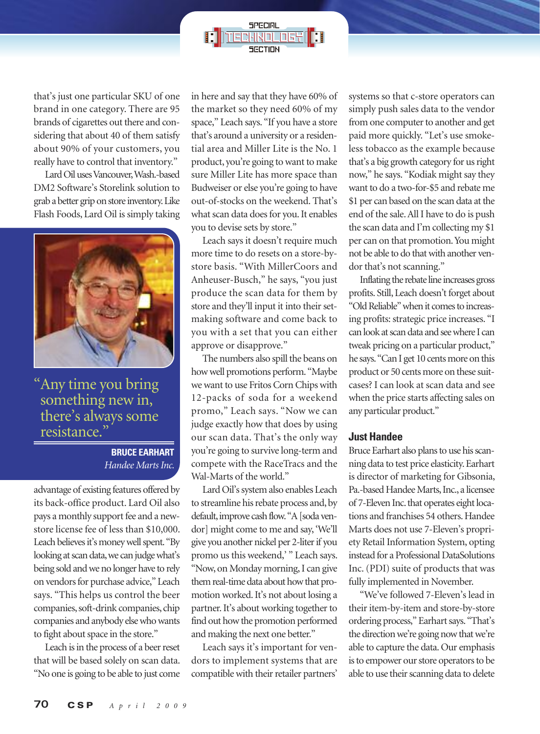

that's just one particular SKU of one brand in one category. There are 95 brands of cigarettes out there and considering that about 40 of them satisfy about 90% of your customers, you really have to control that inventory."

LardOilusesVancouver,Wash.-based DM2 Software's Storelink solution to grab a better grip on store inventory. Like Flash Foods, Lard Oil is simply taking



"Any time you bring something new in, there's always some resistance."

### **BRUCE EARHART** *Handee Marts Inc.*

advantage of existing features offered by its back-office product. Lard Oil also pays a monthly support fee and a newstore license fee of less than \$10,000. Leach believes it's money well spent. "By looking at scan data, we can judge what's being sold andwe no longer have to rely on vendors for purchase advice," Leach says. "This helps us control the beer companies, soft-drink companies, chip companies and anybody elsewhowants to fight about space in the store."

Leach is in the process of a beer reset that will be based solely on scan data. "No one is going to be able to just come in here and say that they have 60% of the market so they need 60% of my space," Leach says. "If you have a store that's around a university or a residential area and Miller Lite is the No. 1 product, you're going to want to make sure Miller Lite has more space than Budweiser or else you're going to have out-of-stocks on the weekend. That's what scan data does for you. It enables you to devise sets by store."

Leach says it doesn't require much more time to do resets on a store-bystore basis. "With MillerCoors and Anheuser-Busch," he says, "you just produce the scan data for them by store and they'll input it into their setmaking software and come back to you with a set that you can either approve or disapprove."

The numbers also spill the beans on howwell promotions perform. "Maybe we want to use Fritos Corn Chips with 12-packs of soda for a weekend promo," Leach says. "Now we can judge exactly how that does by using our scan data. That's the only way you're going to survive long-term and compete with the RaceTracs and the Wal-Marts of the world."

Lard Oil's system also enables Leach to streamline his rebate process and, by default, improve cash flow. "A [soda vendor] might come to me and say, 'We'll give you another nickel per 2-literif you promo us this weekend,' " Leach says. "Now, on Monday morning, I can give them real-time data about how that promotion worked.It's not about losing a partner. It's about working together to find out howthe promotion performed and making the next one better."

Leach says it's important for vendors to implement systems that are compatible with their retailer partners' systems so that c-store operators can simply push sales data to the vendor from one computer to another and get paid more quickly. "Let's use smokeless tobacco as the example because that's a big growth category for us right now," he says. "Kodiak might say they want to do a two-for-\$5 and rebate me \$1 per can based on the scan data at the end of the sale.All I have to do is push the scan data and I'm collecting my \$1 per can on that promotion.You might not be able to do that with another vendor that's not scanning."

Inflating the rebate line increases gross profits. Still, Leach doesn't forget about "Old Reliable" when it comes to increasing profits: strategic price increases. "I can look at scan data and see where I can tweak pricing on a particular product," he says. "Can I get 10 cents more on this product or 50 cents more on these suitcases? I can look at scan data and see when the price starts affecting sales on any particular product."

#### **Just Handee**

Bruce Earhart also plans to use his scanning data to test price elasticity.Earhart is director of marketing for Gibsonia, Pa.-based Handee Marts, Inc., a licensee of 7-Eleven Inc. that operates eight locations and franchises 54 others. Handee Marts does not use 7-Eleven's propriety Retail Information System, opting instead for a Professional DataSolutions Inc.(PDI) suite of products that was fully implemented in November.

"We've followed 7-Eleven's lead in their item-by-item and store-by-store ordering process," Earhart says. "That's the direction we're going now that we're able to capture the data. Our emphasis is to empower our store operators to be able to use their scanning data to delete